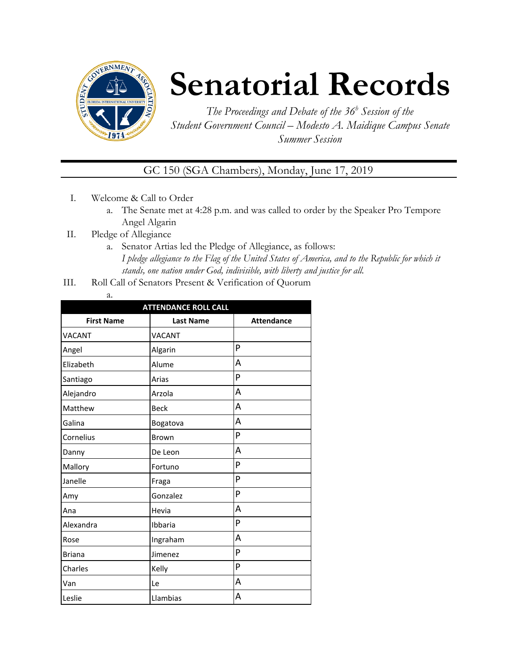

# **Senatorial Records**

*The Proceedings and Debate of the 36 <sup>h</sup> Session of the Student Government Council – Modesto A. Maidique Campus Senate Summer Session*

GC 150 (SGA Chambers), Monday, June 17, 2019

- I. Welcome & Call to Order
	- a. The Senate met at 4:28 p.m. and was called to order by the Speaker Pro Tempore Angel Algarin
- II. Pledge of Allegiance
	- a. Senator Artias led the Pledge of Allegiance, as follows: *I pledge allegiance to the Flag of the United States of America, and to the Republic for which it stands, one nation under God, indivisible, with liberty and justice for all.*
- III. Roll Call of Senators Present & Verification of Quorum
	- a.

| <b>ATTENDANCE ROLL CALL</b> |                  |                   |  |  |
|-----------------------------|------------------|-------------------|--|--|
| <b>First Name</b>           | <b>Last Name</b> | <b>Attendance</b> |  |  |
| <b>VACANT</b>               | <b>VACANT</b>    |                   |  |  |
| Angel                       | Algarin          | P                 |  |  |
| Elizabeth                   | Alume            | A                 |  |  |
| Santiago                    | Arias            | P                 |  |  |
| Alejandro                   | Arzola           | А                 |  |  |
| Matthew                     | <b>Beck</b>      | A                 |  |  |
| Galina                      | Bogatova         | А                 |  |  |
| Cornelius                   | Brown            | P                 |  |  |
| Danny                       | De Leon          | А                 |  |  |
| Mallory                     | Fortuno          | P                 |  |  |
| Janelle                     | Fraga            | P                 |  |  |
| Amy                         | Gonzalez         | P                 |  |  |
| Ana                         | Hevia            | A                 |  |  |
| Alexandra                   | Ibbaria          | P                 |  |  |
| Rose                        | Ingraham         | A                 |  |  |
| <b>Briana</b>               | Jimenez          | P                 |  |  |
| Charles                     | Kelly            | P                 |  |  |
| Van                         | Le               | А                 |  |  |
| Leslie                      | Llambias         | A                 |  |  |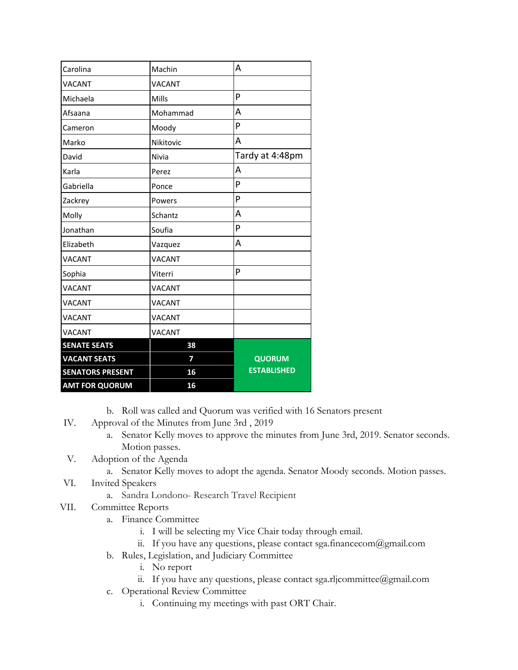| Carolina                | Machin        | A                  |
|-------------------------|---------------|--------------------|
| VACANT                  | <b>VACANT</b> |                    |
| Michaela                | Mills         | P                  |
| Afsaana                 | Mohammad      | A                  |
| Cameron                 | Moody         | P                  |
| Marko                   | Nikitovic     | A                  |
| David                   | Nivia         | Tardy at 4:48pm    |
| Karla                   | Perez         | A                  |
| Gabriella               | Ponce         | P                  |
| Zackrey                 | Powers        | P                  |
| Molly                   | Schantz       | Α                  |
| Jonathan                | Soufia        | P                  |
| Elizabeth               | Vazquez       | A                  |
| VACANT                  | <b>VACANT</b> |                    |
| Sophia                  | Viterri       | P                  |
| VACANT                  | <b>VACANT</b> |                    |
| VACANT                  | <b>VACANT</b> |                    |
| VACANT                  | <b>VACANT</b> |                    |
| VACANT                  | <b>VACANT</b> |                    |
| <b>SENATE SEATS</b>     | 38            |                    |
| <b>VACANT SEATS</b>     | 7             | <b>QUORUM</b>      |
| <b>SENATORS PRESENT</b> | 16            | <b>ESTABLISHED</b> |
| <b>AMT FOR QUORUM</b>   | 16            |                    |

- b. Roll was called and Quorum was verified with 16 Senators present
- IV. Approval of the Minutes from June 3rd , 2019
	- a. Senator Kelly moves to approve the minutes from June 3rd, 2019. Senator seconds. Motion passes.
- V. Adoption of the Agenda
	- a. Senator Kelly moves to adopt the agenda. Senator Moody seconds. Motion passes.
- VI. Invited Speakers
	- a. Sandra Londono- Research Travel Recipient
- VII. Committee Reports
	- a. Finance Committee
		- i. I will be selecting my Vice Chair today through email.
		- ii. If you have any questions, please contact sga.financecom@gmail.com
	- b. Rules, Legislation, and Judiciary Committee
		- i. No report
		- ii. If you have any questions, please contact sga.rljcommittee@gmail.com
	- c. Operational Review Committee
		- i. Continuing my meetings with past ORT Chair.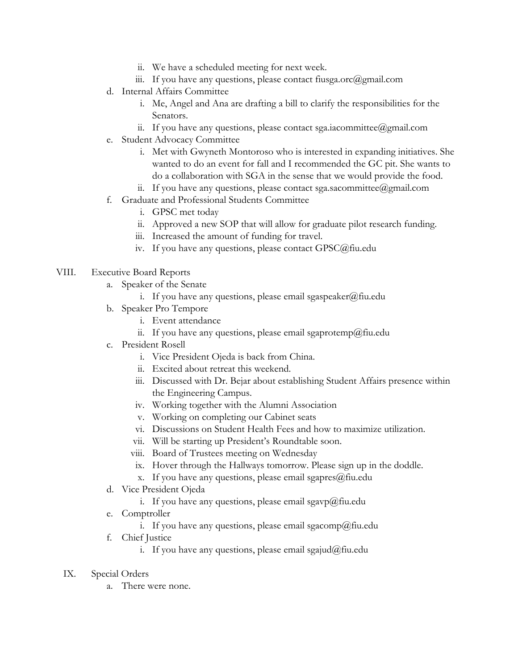- ii. We have a scheduled meeting for next week.
- iii. If you have any questions, please contact fiusga.orc@gmail.com
- d. Internal Affairs Committee
	- i. Me, Angel and Ana are drafting a bill to clarify the responsibilities for the Senators.
	- ii. If you have any questions, please contact sga.iacommittee@gmail.com
- e. Student Advocacy Committee
	- i. Met with Gwyneth Montoroso who is interested in expanding initiatives. She wanted to do an event for fall and I recommended the GC pit. She wants to do a collaboration with SGA in the sense that we would provide the food.
	- ii. If you have any questions, please contact sga.sacommittee@gmail.com
- f. Graduate and Professional Students Committee
	- i. GPSC met today
	- ii. Approved a new SOP that will allow for graduate pilot research funding.
	- iii. Increased the amount of funding for travel.
	- iv. If you have any questions, please contact GPSC@fiu.edu
- VIII. Executive Board Reports
	- a. Speaker of the Senate
		- i. If you have any questions, please email sgaspeaker@fiu.edu
	- b. Speaker Pro Tempore
		- i. Event attendance
		- ii. If you have any questions, please email sgaprotemp@fiu.edu
	- c. President Rosell
		- i. Vice President Ojeda is back from China.
		- ii. Excited about retreat this weekend.
		- iii. Discussed with Dr. Bejar about establishing Student Affairs presence within the Engineering Campus.
		- iv. Working together with the Alumni Association
		- v. Working on completing our Cabinet seats
		- vi. Discussions on Student Health Fees and how to maximize utilization.
		- vii. Will be starting up President's Roundtable soon.
		- viii. Board of Trustees meeting on Wednesday
		- ix. Hover through the Hallways tomorrow. Please sign up in the doddle.
		- x. If you have any questions, please email sgapres $@$ fiu.edu
	- d. Vice President Ojeda
		- i. If you have any questions, please email sgavp@fiu.edu
	- e. Comptroller
		- i. If you have any questions, please email sgacomp@fiu.edu
	- f. Chief Justice
		- i. If you have any questions, please email sgajud@fiu.edu
	- IX. Special Orders
		- a. There were none.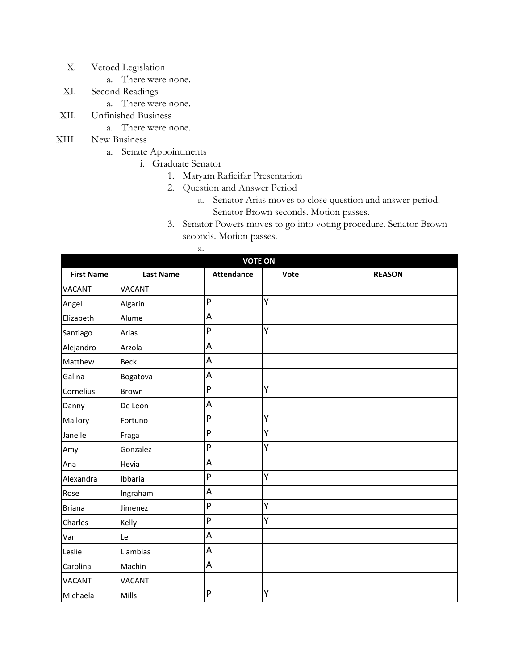- X. Vetoed Legislation
	- a. There were none.
- XI. Second Readings
	- a. There were none.
- XII. Unfinished Business
	- a. There were none.
- XIII. New Business
	- a. Senate Appointments
		- i. Graduate Senator

a.

- 1. Maryam Rafieifar Presentation
- 2. Question and Answer Period
	- a. Senator Arias moves to close question and answer period. Senator Brown seconds. Motion passes.
- 3. Senator Powers moves to go into voting procedure. Senator Brown seconds. Motion passes.

| <b>VOTE ON</b>    |                  |                   |      |               |  |
|-------------------|------------------|-------------------|------|---------------|--|
| <b>First Name</b> | <b>Last Name</b> | <b>Attendance</b> | Vote | <b>REASON</b> |  |
| <b>VACANT</b>     | <b>VACANT</b>    |                   |      |               |  |
| Angel             | Algarin          | P                 | Υ    |               |  |
| Elizabeth         | Alume            | A                 |      |               |  |
| Santiago          | Arias            | P                 | Y    |               |  |
| Alejandro         | Arzola           | A                 |      |               |  |
| Matthew           | <b>Beck</b>      | A                 |      |               |  |
| Galina            | Bogatova         | A                 |      |               |  |
| Cornelius         | Brown            | P                 | Υ    |               |  |
| Danny             | De Leon          | A                 |      |               |  |
| Mallory           | Fortuno          | P                 | Y    |               |  |
| Janelle           | Fraga            | P                 | Y    |               |  |
| Amy               | Gonzalez         | $\overline{P}$    | Y    |               |  |
| Ana               | Hevia            | A                 |      |               |  |
| Alexandra         | Ibbaria          | $\mathsf{P}$      | Υ    |               |  |
| Rose              | Ingraham         | A                 |      |               |  |
| <b>Briana</b>     | Jimenez          | $\mathsf{P}$      | Υ    |               |  |
| Charles           | Kelly            | $\mathsf{P}$      | Υ    |               |  |
| Van               | Le               | A                 |      |               |  |
| Leslie            | Llambias         | A                 |      |               |  |
| Carolina          | Machin           | A                 |      |               |  |
| <b>VACANT</b>     | <b>VACANT</b>    |                   |      |               |  |
| Michaela          | Mills            | P                 | Y    |               |  |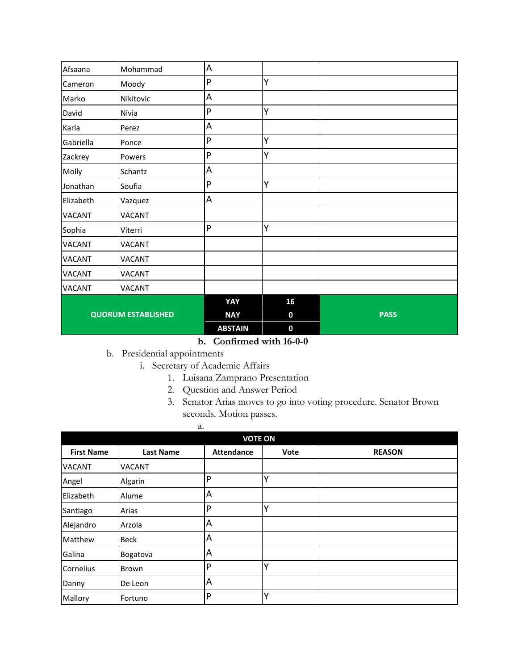| Afsaana                   | Mohammad      | $\sf A$        |             |             |
|---------------------------|---------------|----------------|-------------|-------------|
| Cameron                   | Moody         | P              | Y           |             |
| Marko                     | Nikitovic     | $\sf A$        |             |             |
| David                     | Nivia         | P              | Υ           |             |
| Karla                     | Perez         | $\sf A$        |             |             |
| Gabriella                 | Ponce         | $\mathsf{P}$   | Y           |             |
| Zackrey                   | Powers        | P              | Υ           |             |
| Molly                     | Schantz       | $\sf A$        |             |             |
| Jonathan                  | Soufia        | $\mathsf{P}$   | Y           |             |
| Elizabeth                 | Vazquez       | A              |             |             |
| VACANT                    | VACANT        |                |             |             |
| Sophia                    | Viterri       | $\mathsf{P}$   | Υ           |             |
| VACANT                    | VACANT        |                |             |             |
| VACANT                    | VACANT        |                |             |             |
| VACANT                    | VACANT        |                |             |             |
| <b>VACANT</b>             | <b>VACANT</b> |                |             |             |
|                           |               | YAY            | 16          |             |
| <b>QUORUM ESTABLISHED</b> |               | <b>NAY</b>     | 0           | <b>PASS</b> |
|                           |               | <b>ABSTAIN</b> | $\mathbf 0$ |             |

## **b. Confirmed with 16-0-0**

b. Presidential appointments

- i. Secretary of Academic Affairs
	- 1. Luisana Zamprano Presentation
	- 2. Question and Answer Period
	- 3. Senator Arias moves to go into voting procedure. Senator Brown seconds. Motion passes.

|                   | a.               |                   |      |               |  |  |
|-------------------|------------------|-------------------|------|---------------|--|--|
|                   | <b>VOTE ON</b>   |                   |      |               |  |  |
| <b>First Name</b> | <b>Last Name</b> | <b>Attendance</b> | Vote | <b>REASON</b> |  |  |
| <b>VACANT</b>     | <b>VACANT</b>    |                   |      |               |  |  |
| Angel             | Algarin          | P                 | Υ    |               |  |  |
| Elizabeth         | Alume            | A                 |      |               |  |  |
| Santiago          | Arias            | P                 | Y    |               |  |  |
| Alejandro         | Arzola           | A                 |      |               |  |  |
| Matthew           | Beck             | A                 |      |               |  |  |
| Galina            | Bogatova         | A                 |      |               |  |  |
| Cornelius         | Brown            | P                 | Υ    |               |  |  |
| Danny             | De Leon          | A                 |      |               |  |  |
| Mallory           | Fortuno          | P                 | Υ    |               |  |  |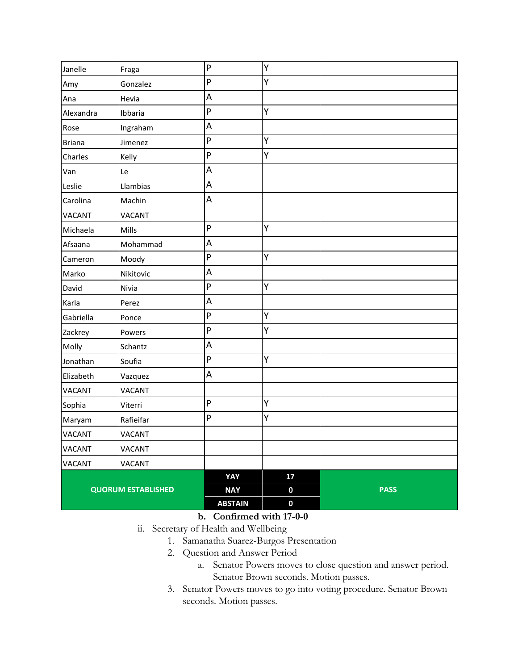| Janelle                   | Fraga         | $\mathsf{P}$            | Υ           |             |
|---------------------------|---------------|-------------------------|-------------|-------------|
| Amy                       | Gonzalez      | $\mathsf{P}$            | Y           |             |
| Ana                       | Hevia         | A                       |             |             |
| Alexandra                 | Ibbaria       | ${\sf P}$               | Υ           |             |
| Rose                      | Ingraham      | A                       |             |             |
| <b>Briana</b>             | Jimenez       | $\mathsf{P}$            | Y           |             |
| Charles                   | Kelly         | $\mathsf{P}$            | Y           |             |
| Van                       | Le            | $\sf A$                 |             |             |
| Leslie                    | Llambias      | A                       |             |             |
| Carolina                  | Machin        | $\sf A$                 |             |             |
| <b>VACANT</b>             | <b>VACANT</b> |                         |             |             |
| Michaela                  | Mills         | $\sf P$                 | Υ           |             |
| Afsaana                   | Mohammad      | A                       |             |             |
| Cameron                   | Moody         | $\mathsf{P}$            | Y           |             |
| Marko                     | Nikitovic     | $\overline{\mathsf{A}}$ |             |             |
| David                     | Nivia         | $\mathsf{P}$            | Y           |             |
| Karla                     | Perez         | A                       |             |             |
| Gabriella                 | Ponce         | $\mathsf{P}$            | Υ           |             |
| Zackrey                   | Powers        | $\mathsf{P}$            | Υ           |             |
| Molly                     | Schantz       | A                       |             |             |
| Jonathan                  | Soufia        | ${\sf P}$               | Υ           |             |
| Elizabeth                 | Vazquez       | A                       |             |             |
| <b>VACANT</b>             | <b>VACANT</b> |                         |             |             |
| Sophia                    | Viterri       | $\mathsf{P}$            | Y           |             |
| Maryam                    | Rafieifar     | ${\sf P}$               | Υ           |             |
| <b>VACANT</b>             | <b>VACANT</b> |                         |             |             |
| <b>VACANT</b>             | <b>VACANT</b> |                         |             |             |
| <b>VACANT</b>             | <b>VACANT</b> |                         |             |             |
|                           |               | YAY                     | 17          |             |
| <b>QUORUM ESTABLISHED</b> |               | <b>NAY</b>              | $\pmb{0}$   | <b>PASS</b> |
|                           |               | <b>ABSTAIN</b>          | $\mathbf 0$ |             |

- **b. Confirmed with 17-0-0**
- ii. Secretary of Health and Wellbeing
	- 1. Samanatha Suarez-Burgos Presentation
		- 2. Question and Answer Period
			- a. Senator Powers moves to close question and answer period. Senator Brown seconds. Motion passes.
		- 3. Senator Powers moves to go into voting procedure. Senator Brown seconds. Motion passes.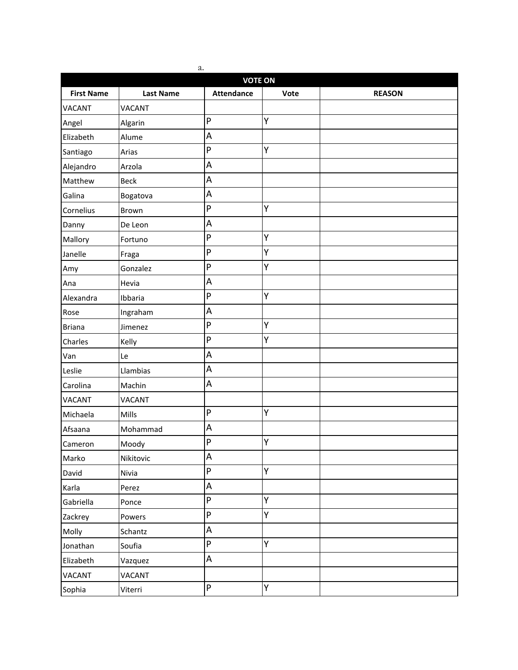| a.<br><b>VOTE ON</b> |                  |                           |      |               |
|----------------------|------------------|---------------------------|------|---------------|
| <b>First Name</b>    | <b>Last Name</b> | <b>Attendance</b>         | Vote | <b>REASON</b> |
| <b>VACANT</b>        | <b>VACANT</b>    |                           |      |               |
| Angel                | Algarin          | $\mathsf{P}$              | Υ    |               |
| Elizabeth            | Alume            | A                         |      |               |
| Santiago             | Arias            | P                         | Υ    |               |
| Alejandro            | Arzola           | A                         |      |               |
| Matthew              | <b>Beck</b>      | A                         |      |               |
| Galina               | Bogatova         | A                         |      |               |
| Cornelius            | Brown            | P                         | Υ    |               |
| Danny                | De Leon          | A                         |      |               |
| Mallory              | Fortuno          | P                         | Υ    |               |
| Janelle              | Fraga            | P                         | Υ    |               |
| Amy                  | Gonzalez         | P                         | Υ    |               |
| Ana                  | Hevia            | A                         |      |               |
| Alexandra            | Ibbaria          | $\mathsf{P}$              | Υ    |               |
| Rose                 | Ingraham         | A                         |      |               |
| <b>Briana</b>        | Jimenez          | P                         | Υ    |               |
| Charles              | Kelly            | P                         | Υ    |               |
| Van                  | Le               | A                         |      |               |
| Leslie               | Llambias         | A                         |      |               |
| Carolina             | Machin           | A                         |      |               |
| <b>VACANT</b>        | <b>VACANT</b>    |                           |      |               |
| Michaela             | Mills            | ${\sf P}$                 | Y    |               |
| Afsaana              | Mohammad         | A                         |      |               |
| Cameron              | Moody            | P                         | Y    |               |
| Marko                | Nikitovic        | A                         |      |               |
| David                | Nivia            | $\boldsymbol{\mathsf{P}}$ | Υ    |               |
| Karla                | Perez            | A                         |      |               |
| Gabriella            | Ponce            | P                         | Y    |               |
| Zackrey              | Powers           | P                         | Y    |               |
| Molly                | Schantz          | A                         |      |               |
| Jonathan             | Soufia           | P                         | Y    |               |
| Elizabeth            | Vazquez          | A                         |      |               |
| VACANT               | VACANT           |                           |      |               |
| Sophia               | Viterri          | P                         | Υ    |               |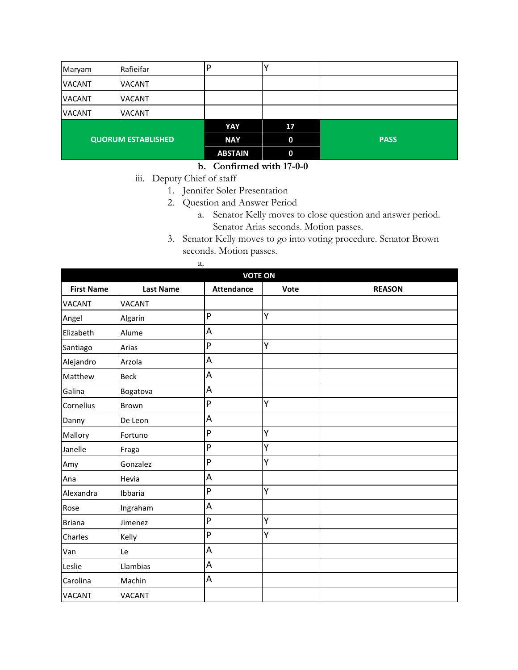| Maryam                    | Rafieifar     |                |             |             |
|---------------------------|---------------|----------------|-------------|-------------|
| <b>VACANT</b>             | <b>VACANT</b> |                |             |             |
| <b>VACANT</b>             | <b>VACANT</b> |                |             |             |
| <b>VACANT</b>             | <b>VACANT</b> |                |             |             |
|                           |               | YAY            | 17          |             |
| <b>QUORUM ESTABLISHED</b> |               | <b>NAY</b>     | $\mathbf 0$ | <b>PASS</b> |
|                           |               | <b>ABSTAIN</b> | $\mathbf 0$ |             |

#### **b. Confirmed with 17-0-0**

iii. Deputy Chief of staff

a.

- 1. Jennifer Soler Presentation
- 2. Question and Answer Period
	- a. Senator Kelly moves to close question and answer period. Senator Arias seconds. Motion passes.
- 3. Senator Kelly moves to go into voting procedure. Senator Brown seconds. Motion passes.

| <b>VOTE ON</b>    |                  |                           |      |               |  |
|-------------------|------------------|---------------------------|------|---------------|--|
| <b>First Name</b> | <b>Last Name</b> | <b>Attendance</b>         | Vote | <b>REASON</b> |  |
| <b>VACANT</b>     | <b>VACANT</b>    |                           |      |               |  |
| Angel             | Algarin          | P                         | Υ    |               |  |
| Elizabeth         | Alume            | $\boldsymbol{\mathsf{A}}$ |      |               |  |
| Santiago          | Arias            | P                         | Υ    |               |  |
| Alejandro         | Arzola           | $\overline{A}$            |      |               |  |
| Matthew           | <b>Beck</b>      | $\sf A$                   |      |               |  |
| Galina            | Bogatova         | $\sf A$                   |      |               |  |
| Cornelius         | <b>Brown</b>     | P                         | Υ    |               |  |
| Danny             | De Leon          | $\sf A$                   |      |               |  |
| Mallory           | Fortuno          | P                         | Υ    |               |  |
| Janelle           | Fraga            | P                         | Υ    |               |  |
| Amy               | Gonzalez         | ${\sf P}$                 | Υ    |               |  |
| Ana               | Hevia            | $\overline{A}$            |      |               |  |
| Alexandra         | Ibbaria          | P                         | Υ    |               |  |
| Rose              | Ingraham         | $\boldsymbol{\mathsf{A}}$ |      |               |  |
| <b>Briana</b>     | Jimenez          | P                         | Υ    |               |  |
| Charles           | Kelly            | $\mathsf{P}$              | Y    |               |  |
| Van               | Le               | $\sf A$                   |      |               |  |
| Leslie            | Llambias         | $\sf A$                   |      |               |  |
| Carolina          | Machin           | A                         |      |               |  |
| <b>VACANT</b>     | <b>VACANT</b>    |                           |      |               |  |